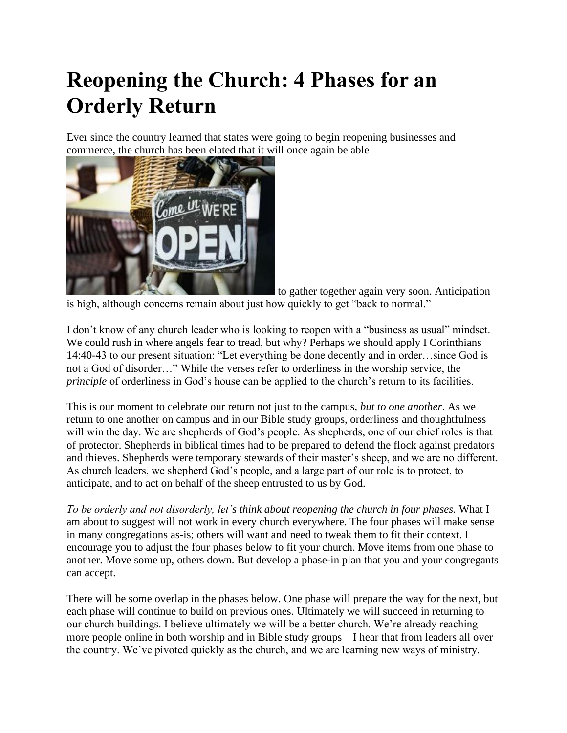# **Reopening the Church: 4 Phases for an Orderly Return**

Ever since the country learned that states were going to begin reopening businesses and commerce, the church has been elated that it will once again be able



to gather together again very soon. Anticipation is high, although concerns remain about just how quickly to get "back to normal."

I don't know of any church leader who is looking to reopen with a "business as usual" mindset. We could rush in where angels fear to tread, but why? Perhaps we should apply I Corinthians 14:40-43 to our present situation: "Let everything be done decently and in order…since God is not a God of disorder…" While the verses refer to orderliness in the worship service, the *principle* of orderliness in God's house can be applied to the church's return to its facilities.

This is our moment to celebrate our return not just to the campus, *but to one another*. As we return to one another on campus and in our Bible study groups, orderliness and thoughtfulness will win the day. We are shepherds of God's people. As shepherds, one of our chief roles is that of protector. Shepherds in biblical times had to be prepared to defend the flock against predators and thieves. Shepherds were temporary stewards of their master's sheep, and we are no different. As church leaders, we shepherd God's people, and a large part of our role is to protect, to anticipate, and to act on behalf of the sheep entrusted to us by God.

*To be orderly and not disorderly, let's think about reopening the church in four phases.* What I am about to suggest will not work in every church everywhere. The four phases will make sense in many congregations as-is; others will want and need to tweak them to fit their context. I encourage you to adjust the four phases below to fit your church. Move items from one phase to another. Move some up, others down. But develop a phase-in plan that you and your congregants can accept.

There will be some overlap in the phases below. One phase will prepare the way for the next, but each phase will continue to build on previous ones. Ultimately we will succeed in returning to our church buildings. I believe ultimately we will be a better church. We're already reaching more people online in both worship and in Bible study groups – I hear that from leaders all over the country. We've pivoted quickly as the church, and we are learning new ways of ministry.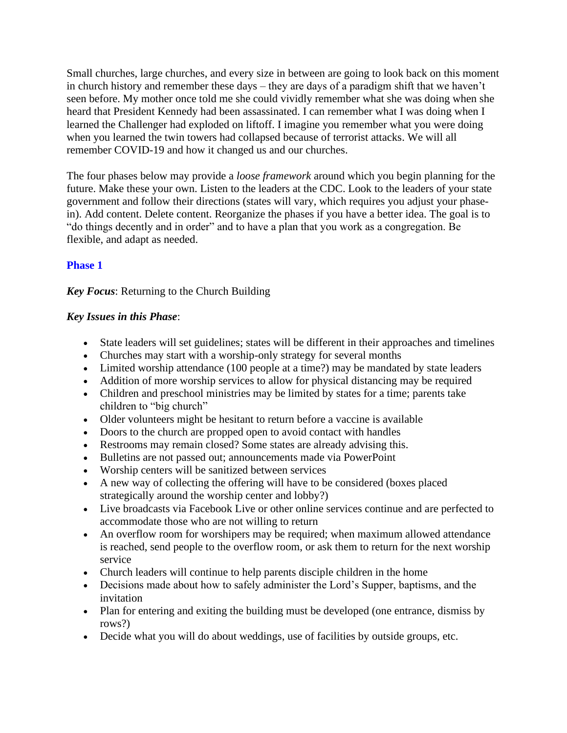Small churches, large churches, and every size in between are going to look back on this moment in church history and remember these days – they are days of a paradigm shift that we haven't seen before. My mother once told me she could vividly remember what she was doing when she heard that President Kennedy had been assassinated. I can remember what I was doing when I learned the Challenger had exploded on liftoff. I imagine you remember what you were doing when you learned the twin towers had collapsed because of terrorist attacks. We will all remember COVID-19 and how it changed us and our churches.

The four phases below may provide a *loose framework* around which you begin planning for the future. Make these your own. Listen to the leaders at the CDC. Look to the leaders of your state government and follow their directions (states will vary, which requires you adjust your phasein). Add content. Delete content. Reorganize the phases if you have a better idea. The goal is to "do things decently and in order" and to have a plan that you work as a congregation. Be flexible, and adapt as needed.

#### **Phase 1**

*Key Focus*: Returning to the Church Building

#### *Key Issues in this Phase*:

- State leaders will set guidelines; states will be different in their approaches and timelines
- Churches may start with a worship-only strategy for several months
- Limited worship attendance (100 people at a time?) may be mandated by state leaders
- Addition of more worship services to allow for physical distancing may be required
- Children and preschool ministries may be limited by states for a time; parents take children to "big church"
- Older volunteers might be hesitant to return before a vaccine is available
- Doors to the church are propped open to avoid contact with handles
- Restrooms may remain closed? Some states are already advising this.
- Bulletins are not passed out; announcements made via PowerPoint
- Worship centers will be sanitized between services
- A new way of collecting the offering will have to be considered (boxes placed strategically around the worship center and lobby?)
- Live broadcasts via Facebook Live or other online services continue and are perfected to accommodate those who are not willing to return
- An overflow room for worshipers may be required; when maximum allowed attendance is reached, send people to the overflow room, or ask them to return for the next worship service
- Church leaders will continue to help parents disciple children in the home
- Decisions made about how to safely administer the Lord's Supper, baptisms, and the invitation
- Plan for entering and exiting the building must be developed (one entrance, dismiss by rows?)
- Decide what you will do about weddings, use of facilities by outside groups, etc.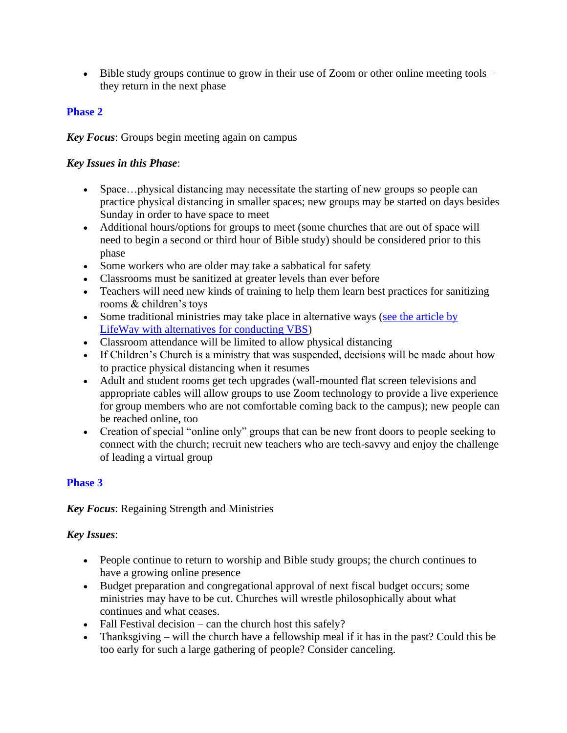• Bible study groups continue to grow in their use of Zoom or other online meeting tools – they return in the next phase

#### **Phase 2**

*Key Focus*: Groups begin meeting again on campus

#### *Key Issues in this Phase*:

- Space...physical distancing may necessitate the starting of new groups so people can practice physical distancing in smaller spaces; new groups may be started on days besides Sunday in order to have space to meet
- Additional hours/options for groups to meet (some churches that are out of space will need to begin a second or third hour of Bible study) should be considered prior to this phase
- Some workers who are older may take a sabbatical for safety
- Classrooms must be sanitized at greater levels than ever before
- Teachers will need new kinds of training to help them learn best practices for sanitizing rooms & children's toys
- Some traditional ministries may take place in alternative ways (see the article by [LifeWay with alternatives for conducting VBS\)](https://vbs.lifeway.com/2020/04/06/4-ways-to-do-vbs-this-summer/)
- Classroom attendance will be limited to allow physical distancing
- If Children's Church is a ministry that was suspended, decisions will be made about how to practice physical distancing when it resumes
- Adult and student rooms get tech upgrades (wall-mounted flat screen televisions and appropriate cables will allow groups to use Zoom technology to provide a live experience for group members who are not comfortable coming back to the campus); new people can be reached online, too
- Creation of special "online only" groups that can be new front doors to people seeking to connect with the church; recruit new teachers who are tech-savvy and enjoy the challenge of leading a virtual group

## **Phase 3**

*Key Focus*: Regaining Strength and Ministries

## *Key Issues*:

- People continue to return to worship and Bible study groups; the church continues to have a growing online presence
- Budget preparation and congregational approval of next fiscal budget occurs; some ministries may have to be cut. Churches will wrestle philosophically about what continues and what ceases.
- Fall Festival decision can the church host this safely?
- Thanksgiving will the church have a fellowship meal if it has in the past? Could this be too early for such a large gathering of people? Consider canceling.